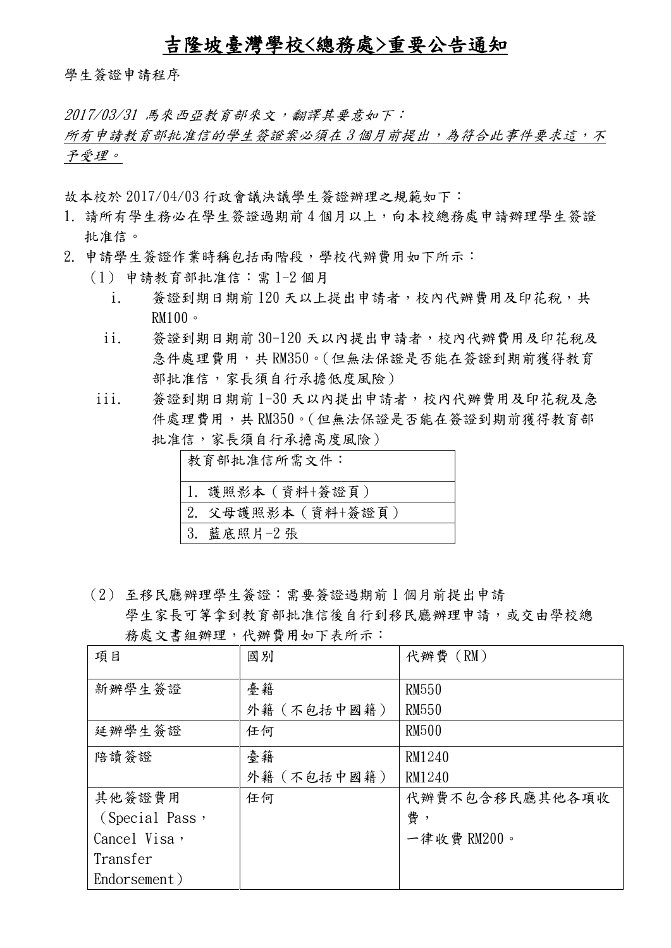## 吉隆坡臺灣學校<總務處>重要公告通知

學生簽證申請程序

2017/03/31 馬來西亞教育部來文,翻譯其要意如下:

所有申請教育部批准信的學生簽證案必須在3個月前提出,為符合此事件要求這,不 予受理。

故本校於 2017/04/03 行政會議決議學生簽證辦理之規範如下:

- 1. 請所有學生務必在學生簽證過期前4個月以上,向本校總務處申請辦理學生簽證 批准信。
- 2. 申請學生簽證作業時稱包括兩階段,學校代辦費用如下所示:
	- (1) 申請教育部批准信:需 1-2 個月
		- i. 簽證到期日期前 120 天以上提出申請者,校內代辦費用及印花稅,共  $RM100$
		- ii. 簽證到期日期前 30-120 天以內提出申請者,校內代辦費用及印花稅及 急件處理費用,共 RM350。(但無法保證是否能在簽證到期前獲得教育 部批准信,家長須自行承擔低度風險)
	- iii. 簽證到期日期前 1-30 天以內提出申請者,校內代辦費用及印花稅及急 件處理費用,共 RM350。(但無法保證是否能在簽證到期前獲得教育部 批准信,家長須自行承擔高度風險)

| 教育部批准信所需文件:        |  |
|--------------------|--|
| 1. 護照影本(資料+簽證頁)    |  |
| 2. 父母護照影本 (資料+簽證頁) |  |
| 3.<br>藍底照片-2張      |  |

(2) 至移民廳辦理學生簽證:需要簽證過期前 1 個月前提出申請

| $\sim$ $\sim$ |                                  |  |
|---------------|----------------------------------|--|
|               | 務處文書組辦理,代辦費用如下表所示:               |  |
|               | 學生家長可等拿到教育部批准信後自行到移民廳辦理申請,或交由學校總 |  |

| 項目             | 國別          | 代辦費 (RM)       |
|----------------|-------------|----------------|
| 新辦學生簽證         | 臺籍          | <b>RM550</b>   |
|                | 外籍 (不包括中國籍) | <b>RM550</b>   |
| 延辦學生簽證         | 任何          | <b>RM500</b>   |
| 陪讀簽證           | 臺籍          | RM1240         |
|                | 外籍 (不包括中國籍) | RM1240         |
| 其他簽證費用         | 任何          | 代辦費不包含移民廳其他各項收 |
| (Special Pass, |             | 費,             |
| Cancel Visa,   |             | 一律收費 RM200。    |
| Transfer       |             |                |
| Endorsement)   |             |                |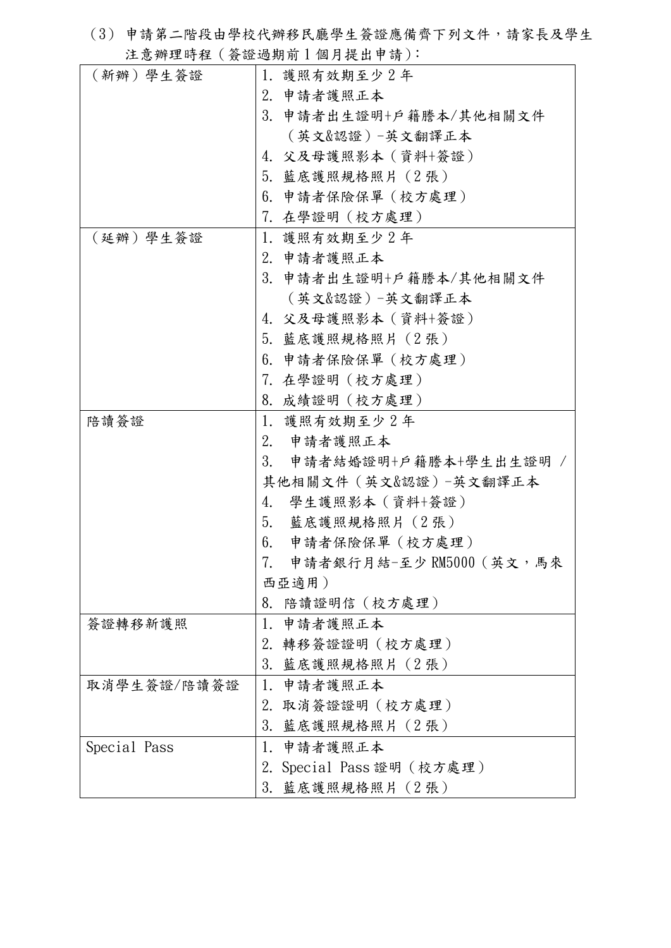(3) 申請第二階段由學校代辦移民廳學生簽證應備齊下列文件,請家長及學生 注意辦理時程(簽證過期前 1 個月提出申請):

| (新辦)學生簽證     | 1. 護照有效期至少2年                         |  |
|--------------|--------------------------------------|--|
|              | 2. 申請者護照正本                           |  |
|              | 3. 申請者出生證明+戶籍謄本/其他相關文件               |  |
|              | (英文&認證)-英文翻譯正本                       |  |
|              | 4. 父及母護照影本(資料+簽證)<br>5. 藍底護照規格照片(2張) |  |
|              |                                      |  |
|              | 6.申請者保險保單(校方處理)                      |  |
|              | 7. 在學證明(校方處理)                        |  |
| (延辦)學生簽證     | 1. 護照有效期至少2年                         |  |
|              | 2. 申請者護照正本                           |  |
|              | 3. 申請者出生證明+戶籍謄本/其他相關文件               |  |
|              | (英文&認證)-英文翻譯正本                       |  |
|              | 4. 父及母護照影本(資料+簽證)                    |  |
|              | 5. 藍底護照規格照片(2張)                      |  |
|              | 6. 申請者保險保單(校方處理)                     |  |
|              | 7.在學證明(校方處理)                         |  |
|              | 8. 成績證明 (校方處理)                       |  |
| 陪讀簽證         | 1. 護照有效期至少2年                         |  |
|              | 2. 申請者護照正本                           |  |
|              | 3. 申請者結婚證明+戶籍謄本+學生出生證明               |  |
|              | 其他相關文件(英文&認證)-英文翻譯正本                 |  |
|              | 學生護照影本 (資料+簽證)<br>4.                 |  |
|              | 5. 藍底護照規格照片(2張)                      |  |
|              | 6.<br>申請者保險保單(校方處理)                  |  |
|              | 7.<br>申請者銀行月結-至少 RM5000(英文,馬來        |  |
|              | 西亞適用)                                |  |
|              | 8. 陪讀證明信 (校方處理)                      |  |
| 簽證轉移新護照      | 申請者護照正本<br>1.                        |  |
|              | 2. 轉移簽證證明(校方處理)                      |  |
|              | 3. 藍底護照規格照片(2張)                      |  |
| 取消學生簽證/陪讀簽證  | 1. 申請者護照正本                           |  |
|              | 2. 取消簽證證明(校方處理)                      |  |
|              | 3. 藍底護照規格照片 (2張)                     |  |
| Special Pass | 1. 申請者護照正本                           |  |
|              | 2. Special Pass 證明(校方處理)             |  |
|              | 3. 藍底護照規格照片(2張)                      |  |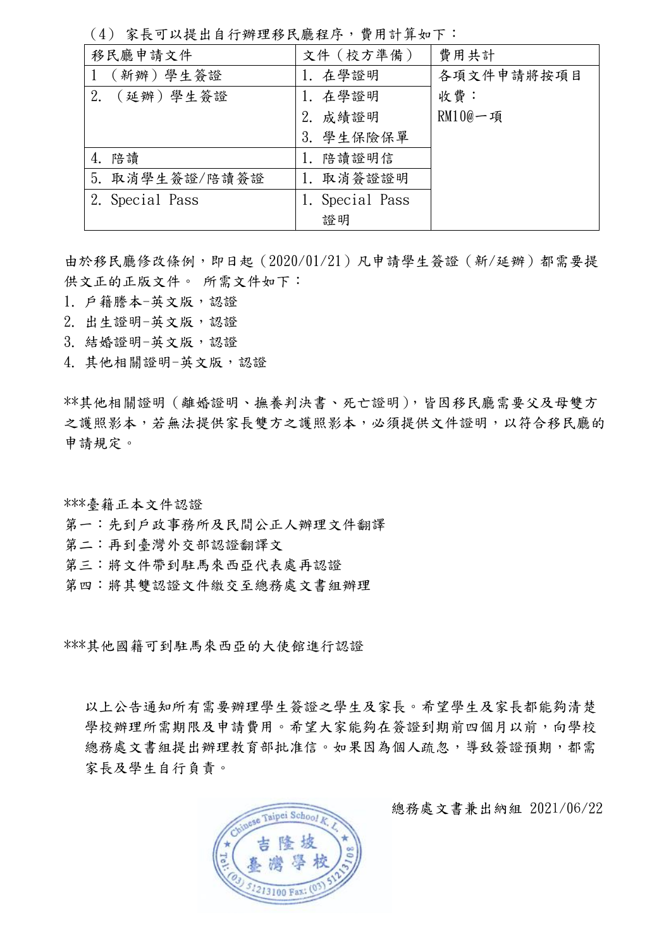(4) 家長可以提出自行辦理移民廳程序,費用計算如下:

| 移民廳申請文件         | 文件 (校方準備)    | 費用共計       |
|-----------------|--------------|------------|
| (新辦)學生簽證        | 1. 在學證明      | 各項文件申請將按項目 |
| (延辦)學生簽證<br>2.  | 1. 在學證明      | 收費:        |
|                 | 2. 成績證明      | $RM10@$ 一項 |
|                 | 學生保險保單<br>3. |            |
| 陪讀<br>4.        | 陪讀證明信<br>1.  |            |
| 5. 取消學生簽證/陪讀簽證  | 取消簽證證明<br>1. |            |
| 2. Special Pass | Special Pass |            |
|                 | 證明           |            |

由於移民廳修改條例,即日起(2020/01/21)凡申請學生簽證(新/延辦)都需要提 供文正的正版文件。 所需文件如下:

- 1. 戶籍謄本-英文版,認證
- 2. 出生證明-英文版,認證
- 3. 結婚證明-英文版,認證
- 4. 其他相關證明-英文版,認證

\*\*其他相關證明 (離婚證明、撫養判決書、死亡證明), 皆因移民廳需要父及母雙方 之護照影本,若無法提供家長雙方之護照影本,必須提供文件證明,以符合移民廳的 申請規定。

\*\*\*臺籍正本文件認證

- 第一:先到戶政事務所及民間公正人辦理文件翻譯
- 第二:再到臺灣外交部認證翻譯文
- ·<br>第三:將文件帶到駐馬來西亞代表處再認證
- 第四:將其雙認證文件繳交至總務處文書組辦理

\*\*\*其他國籍可到駐馬來西亞的大使館進行認證  $\mathbb{F}$  (a) and  $\mathbb{F}$  exacts. administration of  $\mathbb{F}$  email: administration of  $\mathbb{F}$ 

以上公告通知所有需要辦理學生簽證之學生及家長。希望學生及家長都能夠清楚 學校辦理所需期限及申請費用。希望大家能夠在簽證到期前四個月以前,向學校 **平仅研写所需别依久干明真用 布主人参能列在双盘到别周口圖力公開 同手役**<br>總務處文書組提出辦理教育部批准信。如果因為個人疏忽,導致簽證預期,都需 家長及學生自行負責。



總務處文書兼出納組 2021/06/22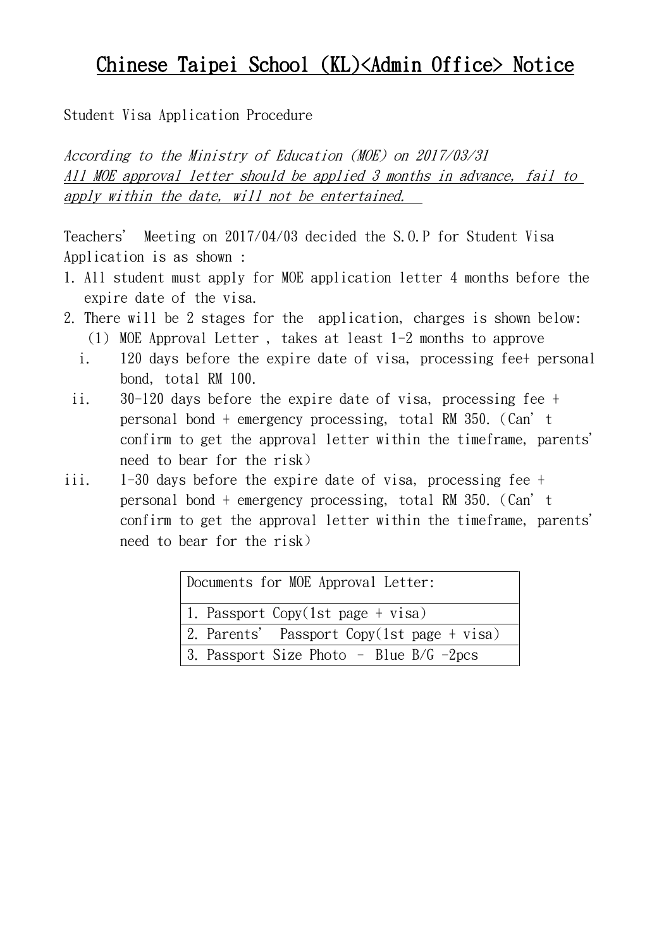## Chinese Taipei School (KL)<Admin Office> Notice

Student Visa Application Procedure

According to the Ministry of Education (MOE) on 2017/03/31 All MOE approval letter should be applied 3 months in advance, fail to apply within the date, will not be entertained.

Teachers' Meeting on 2017/04/03 decided the S.O.P for Student Visa Application is as shown :

- 1. All student must apply for MOE application letter 4 months before the expire date of the visa.
- 2. There will be 2 stages for the application, charges is shown below: (1) MOE Approval Letter , takes at least 1-2 months to approve
	- i. 120 days before the expire date of visa, processing fee+ personal bond, total RM 100.
	- ii. 30-120 days before the expire date of visa, processing fee + personal bond + emergency processing, total RM 350.(Can't confirm to get the approval letter within the timeframe, parents' need to bear for the risk)
- iii. 1-30 days before the expire date of visa, processing fee + personal bond + emergency processing, total RM 350.(Can't confirm to get the approval letter within the timeframe, parents' need to bear for the risk)

| Documents for MOE Approval Letter:         |  |  |
|--------------------------------------------|--|--|
| 1. Passport Copy(1st page + visa)          |  |  |
| 2. Parents' Passport Copy(1st page + visa) |  |  |
| 3. Passport Size Photo - Blue $B/G$ -2pcs  |  |  |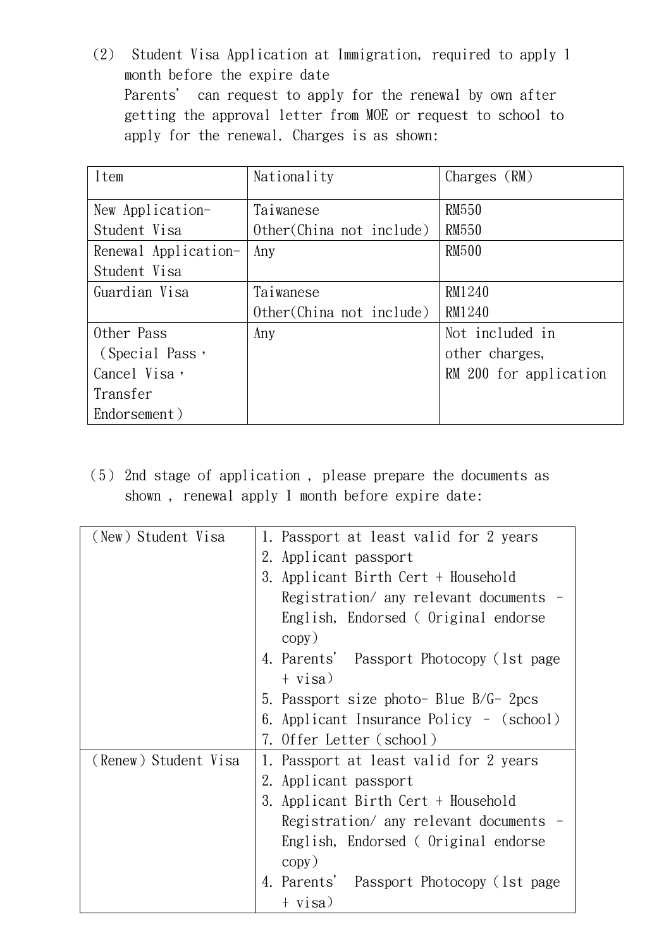(2) Student Visa Application at Immigration, required to apply 1 month before the expire date Parents' can request to apply for the renewal by own after getting the approval letter from MOE or request to school to apply for the renewal. Charges is as shown:

| Item                 | Nationality               | Charges $(RM)$         |
|----------------------|---------------------------|------------------------|
| New Application-     | Taiwanese                 | <b>RM550</b>           |
| Student Visa         | Other (China not include) | <b>RM550</b>           |
| Renewal Application- | Any                       | <b>RM500</b>           |
| Student Visa         |                           |                        |
| Guardian Visa        | Taiwanese                 | RM1240                 |
|                      | Other (China not include) | RM1240                 |
| Other Pass           | Any                       | Not included in        |
| (Special Pass,       |                           | other charges,         |
| Cancel Visa,         |                           | RM 200 for application |
| Transfer             |                           |                        |
| Endorsement)         |                           |                        |

(5) 2nd stage of application , please prepare the documents as shown , renewal apply 1 month before expire date:

| (New) Student Visa   | 1. Passport at least valid for 2 years    |  |
|----------------------|-------------------------------------------|--|
|                      | 2. Applicant passport                     |  |
|                      | 3. Applicant Birth Cert + Household       |  |
|                      | Registration/ any relevant documents -    |  |
|                      | English, Endorsed (Original endorse       |  |
|                      | copy)                                     |  |
|                      | 4. Parents' Passport Photocopy (1st page) |  |
|                      | $+$ visa)                                 |  |
|                      | 5. Passport size photo- Blue $B/G-2pcs$   |  |
|                      | 6. Applicant Insurance Policy - (school)  |  |
|                      | 7. Offer Letter (school)                  |  |
| (Renew) Student Visa | 1. Passport at least valid for 2 years    |  |
|                      | 2. Applicant passport                     |  |
|                      | 3. Applicant Birth Cert + Household       |  |
|                      | Registration/ any relevant documents -    |  |
|                      | English, Endorsed (Original endorse       |  |
|                      | copy)                                     |  |
|                      | 4. Parents' Passport Photocopy (1st page  |  |
|                      | $+$ visa)                                 |  |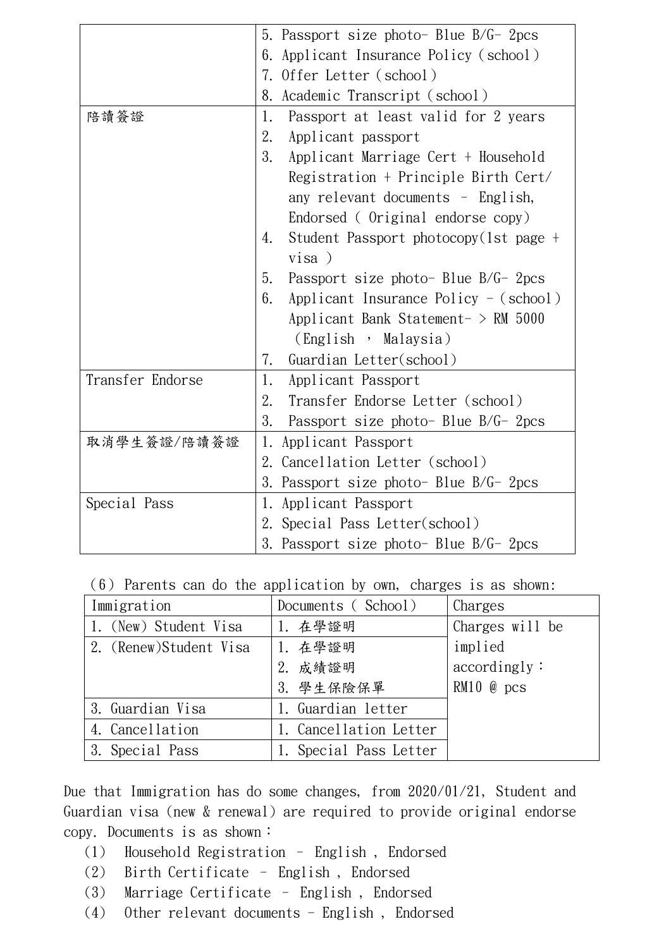|                  | 5. Passport size photo- Blue $B/G-2pcs$       |  |  |
|------------------|-----------------------------------------------|--|--|
|                  | Applicant Insurance Policy (school)<br>6.     |  |  |
|                  | 7. Offer Letter (school)                      |  |  |
|                  | Academic Transcript (school)<br>8.            |  |  |
| 陪讀簽證             | Passport at least valid for 2 years<br>1.     |  |  |
|                  | 2.<br>Applicant passport                      |  |  |
|                  | 3.<br>Applicant Marriage Cert + Household     |  |  |
|                  | Registration + Principle Birth Cert/          |  |  |
|                  | any relevant documents - English,             |  |  |
|                  | Endorsed (Original endorse copy)              |  |  |
|                  | Student Passport photocopy (1st page +<br>4.  |  |  |
|                  | visa)                                         |  |  |
|                  | Passport size photo- Blue B/G- 2pcs<br>5.     |  |  |
|                  | Applicant Insurance Policy $-$ (school)<br>6. |  |  |
|                  | Applicant Bank Statement- $>$ RM 5000         |  |  |
|                  | (English, Malaysia)                           |  |  |
|                  | 7.<br>Guardian Letter(school)                 |  |  |
| Transfer Endorse | 1.<br>Applicant Passport                      |  |  |
|                  | 2.<br>Transfer Endorse Letter (school)        |  |  |
|                  | 3.<br>Passport size photo- Blue B/G- 2pcs     |  |  |
| 取消學生簽證/陪讀簽證      | 1.<br>Applicant Passport                      |  |  |
|                  | 2. Cancellation Letter (school)               |  |  |
|                  | 3.<br>Passport size photo- Blue B/G- 2pcs     |  |  |
| Special Pass     | 1. Applicant Passport                         |  |  |
|                  | 2. Special Pass Letter(school)                |  |  |
|                  | 3. Passport size photo- Blue B/G- 2pcs        |  |  |

(6) Parents can do the application by own, charges is as shown:

| Immigration            | Documents (School)     | Charges         |
|------------------------|------------------------|-----------------|
| 1. (New) Student Visa  | 1. 在學證明                | Charges will be |
| 2. (Renew)Student Visa | 1. 在學證明                | implied         |
|                        | 2. 成績證明                | accordingly:    |
|                        | 3. 學生保險保單              | $RM10$ @ pcs    |
| 3. Guardian Visa       | 1. Guardian letter     |                 |
| 4. Cancellation        | Cancellation Letter    |                 |
| 3. Special Pass        | 1. Special Pass Letter |                 |

Due that Immigration has do some changes, from 2020/01/21, Student and Guardian visa (new & renewal) are required to provide original endorse copy. Documents is as shown:

- (1) Household Registration English , Endorsed
- (2) Birth Certificate English , Endorsed
- (3) Marriage Certificate English , Endorsed
- (4) Other relevant documents English , Endorsed